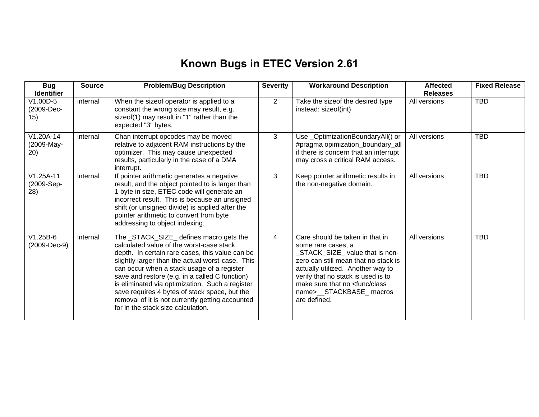## **Known Bugs in ETEC Version 2.61**

| <b>Bug</b><br><b>Identifier</b>  | <b>Source</b> | <b>Problem/Bug Description</b>                                                                                                                                                                                                                                                                                                                                                                                                                                                           | <b>Severity</b> | <b>Workaround Description</b>                                                                                                                                                                                                                                                                       | <b>Affected</b><br><b>Releases</b> | <b>Fixed Release</b> |
|----------------------------------|---------------|------------------------------------------------------------------------------------------------------------------------------------------------------------------------------------------------------------------------------------------------------------------------------------------------------------------------------------------------------------------------------------------------------------------------------------------------------------------------------------------|-----------------|-----------------------------------------------------------------------------------------------------------------------------------------------------------------------------------------------------------------------------------------------------------------------------------------------------|------------------------------------|----------------------|
| V1.00D-5<br>(2009-Dec-<br>15)    | internal      | When the sizeof operator is applied to a<br>constant the wrong size may result, e.g.<br>sizeof(1) may result in "1" rather than the<br>expected "3" bytes.                                                                                                                                                                                                                                                                                                                               | $\overline{2}$  | Take the sizeof the desired type<br>instead: sizeof(int)                                                                                                                                                                                                                                            | All versions                       | <b>TBD</b>           |
| V1.20A-14<br>(2009-May-<br>20)   | internal      | Chan interrupt opcodes may be moved<br>relative to adjacent RAM instructions by the<br>optimizer. This may cause unexpected<br>results, particularly in the case of a DMA<br>interrupt.                                                                                                                                                                                                                                                                                                  | 3               | Use_OptimizationBoundaryAll() or<br>#pragma opimization_boundary_all<br>if there is concern that an interrupt<br>may cross a critical RAM access.                                                                                                                                                   | All versions                       | <b>TBD</b>           |
| $V1.25A-11$<br>(2009-Sep-<br>28) | internal      | If pointer arithmetic generates a negative<br>result, and the object pointed to is larger than<br>1 byte in size, ETEC code will generate an<br>incorrect result. This is because an unsigned<br>shift (or unsigned divide) is applied after the<br>pointer arithmetic to convert from byte<br>addressing to object indexing.                                                                                                                                                            | 3               | Keep pointer arithmetic results in<br>the non-negative domain.                                                                                                                                                                                                                                      | All versions                       | <b>TBD</b>           |
| $V1.25B-6$<br>(2009-Dec-9)       | internal      | The _STACK_SIZE_ defines macro gets the<br>calculated value of the worst-case stack<br>depth. In certain rare cases, this value can be<br>slightly larger than the actual worst-case. This<br>can occur when a stack usage of a register<br>save and restore (e.g. in a called C function)<br>is eliminated via optimization. Such a register<br>save requires 4 bytes of stack space, but the<br>removal of it is not currently getting accounted<br>for in the stack size calculation. | 4               | Care should be taken in that in<br>some rare cases, a<br>STACK_SIZE_value that is non-<br>zero can still mean that no stack is<br>actually utilized. Another way to<br>verify that no stack is used is to<br>make sure that no <func class<br="">name&gt;__STACKBASE_macros<br/>are defined.</func> | All versions                       | <b>TBD</b>           |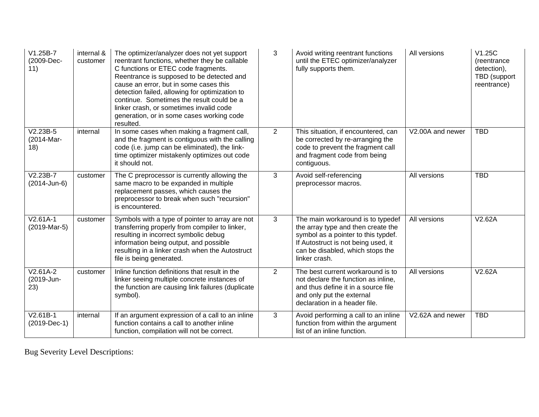| $V1.25B-7$<br>(2009-Dec-<br>11) | internal &<br>customer | The optimizer/analyzer does not yet support<br>reentrant functions, whether they be callable<br>C functions or ETEC code fragments.<br>Reentrance is supposed to be detected and<br>cause an error, but in some cases this<br>detection failed, allowing for optimization to<br>continue. Sometimes the result could be a<br>linker crash, or sometimes invalid code<br>generation, or in some cases working code<br>resulted. | 3              | Avoid writing reentrant functions<br>until the ETEC optimizer/analyzer<br>fully supports them.                                                                                                             | All versions     | V1.25C<br>(reentrance)<br>detection),<br>TBD (support<br>reentrance) |
|---------------------------------|------------------------|--------------------------------------------------------------------------------------------------------------------------------------------------------------------------------------------------------------------------------------------------------------------------------------------------------------------------------------------------------------------------------------------------------------------------------|----------------|------------------------------------------------------------------------------------------------------------------------------------------------------------------------------------------------------------|------------------|----------------------------------------------------------------------|
| $V2.23B-5$<br>(2014-Mar-<br>18) | internal               | In some cases when making a fragment call,<br>and the fragment is contiguous with the calling<br>code (i.e. jump can be eliminated), the link-<br>time optimizer mistakenly optimizes out code<br>it should not.                                                                                                                                                                                                               | $\overline{2}$ | This situation, if encountered, can<br>be corrected by re-arranging the<br>code to prevent the fragment call<br>and fragment code from being<br>contiguous.                                                | V2.00A and newer | <b>TBD</b>                                                           |
| $V2.23B-7$<br>(2014-Jun-6)      | customer               | The C preprocessor is currently allowing the<br>same macro to be expanded in multiple<br>replacement passes, which causes the<br>preprocessor to break when such "recursion"<br>is encountered.                                                                                                                                                                                                                                | 3              | Avoid self-referencing<br>preprocessor macros.                                                                                                                                                             | All versions     | <b>TBD</b>                                                           |
| $V2.61A-1$<br>(2019-Mar-5)      | customer               | Symbols with a type of pointer to array are not<br>transferring properly from compiler to linker,<br>resulting in incorrect symbolic debug<br>information being output, and possible<br>resulting in a linker crash when the Autostruct<br>file is being generated.                                                                                                                                                            | 3              | The main workaround is to typedef<br>the array type and then create the<br>symbol as a pointer to this typdef.<br>If Autostruct is not being used, it<br>can be disabled, which stops the<br>linker crash. | All versions     | V2.62A                                                               |
| $V2.61A-2$<br>(2019-Jun-<br>23) | customer               | Inline function definitions that result in the<br>linker seeing multiple concrete instances of<br>the function are causing link failures (duplicate<br>symbol).                                                                                                                                                                                                                                                                | $\overline{2}$ | The best current workaround is to<br>not declare the function as inline,<br>and thus define it in a source file<br>and only put the external<br>declaration in a header file.                              | All versions     | V2.62A                                                               |
| $V2.61B-1$<br>$(2019-Dec-1)$    | internal               | If an argument expression of a call to an inline<br>function contains a call to another inline<br>function, compilation will not be correct.                                                                                                                                                                                                                                                                                   | 3              | Avoid performing a call to an inline<br>function from within the argument<br>list of an inline function.                                                                                                   | V2.62A and newer | <b>TBD</b>                                                           |

Bug Severity Level Descriptions: